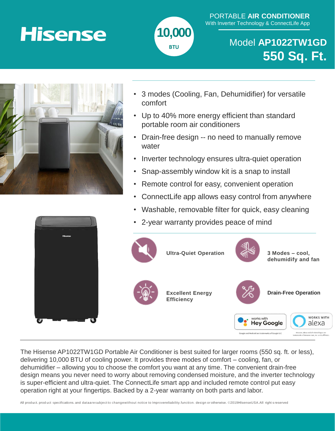# **Hisense**



### PORTABLE **AIR CONDITIONER** With Inverter Technology & ConnectLife App

### Model **AP1022TW1GD 550 Sq. Ft.**



- 3 modes (Cooling, Fan, Dehumidifier) for versatile comfort
- Up to 40% more energy efficient than standard portable room air conditioners
- Drain-free design -- no need to manually remove water
- Inverter technology ensures ultra-quiet operation
- Snap-assembly window kit is a snap to install
- Remote control for easy, convenient operation
- ConnectLife app allows easy control from anywhere
- Washable, removable filter for quick, easy cleaning
- 2-year warranty provides peace of mind



The Hisense AP1022TW1GD Portable Air Conditioner is best suited for larger rooms (550 sq. ft. or less), delivering 10,000 BTU of cooling power. It provides three modes of comfort – cooling, fan, or dehumidifier – allowing you to choose the comfort you want at any time. The convenient drain-free design means you never need to worry about removing condensed moisture, and the inverter technology is super-efficient and ultra-quiet. The ConnectLife smart app and included remote control put easy operation right at your fingertips. Backed by a 2-year warranty on both parts and labor.

All product, product specifications, and dataaresubject to changewithout notice to Improvereliability.function, design or otherwise. ©2019HlsenseUSA.All right s reserved